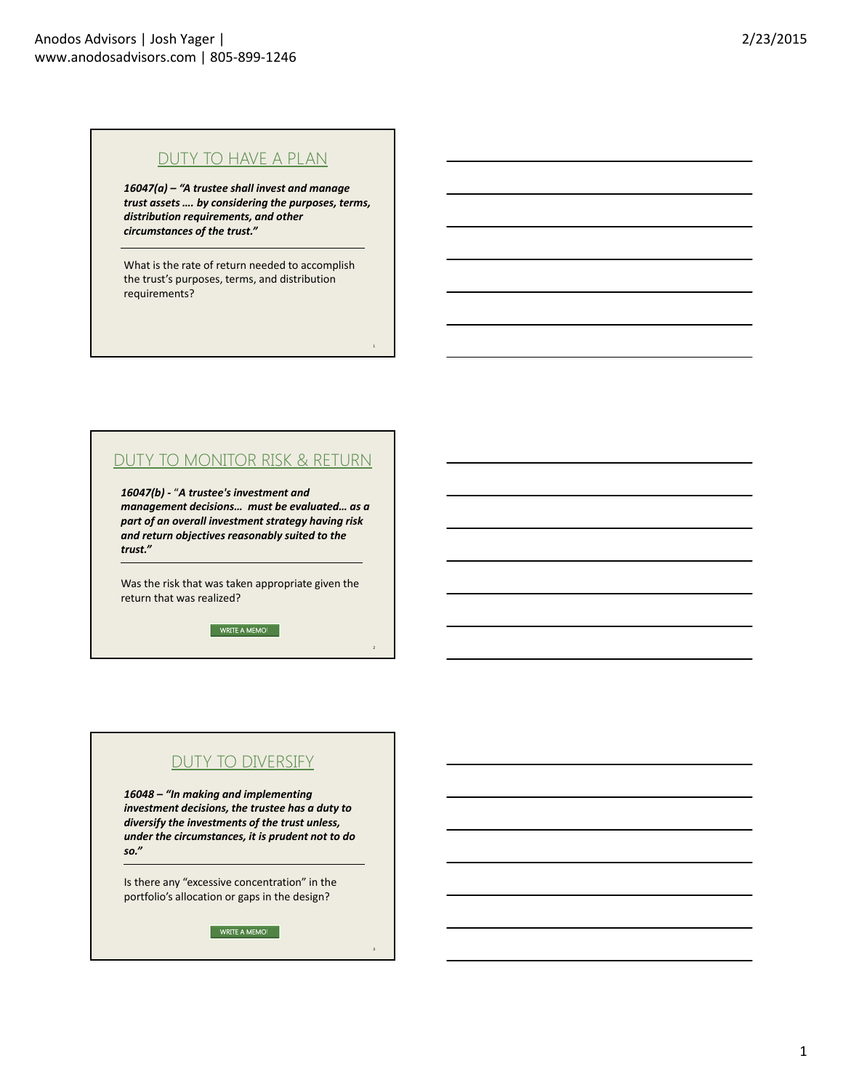## DUTY TO HAVE A PLAN

*16047(a) – "A trustee shall invest and manage trust assets …. by considering the purposes, terms, distribution requirements, and other circumstances of the trust."* 

What is the rate of return needed to accomplish the trust's purposes, terms, and distribution requirements?

## DUTY TO MONITOR RISK & RETURN

*16047(b) ‐* "*A trustee's investment and management decisions… must be evaluated… as a part of an overall investment strategy having risk and return objectives reasonably suited to the trust."*

Was the risk that was taken appropriate given the return that was realized?

WRITE A MEMO!

# DUTY TO DIVERSIFY

*16048 – "In making and implementing investment decisions, the trustee has a duty to diversify the investments of the trust unless, under the circumstances, it is prudent not to do so."*

Is there any "excessive concentration" in the portfolio's allocation or gaps in the design?

WRITE A MEMO!